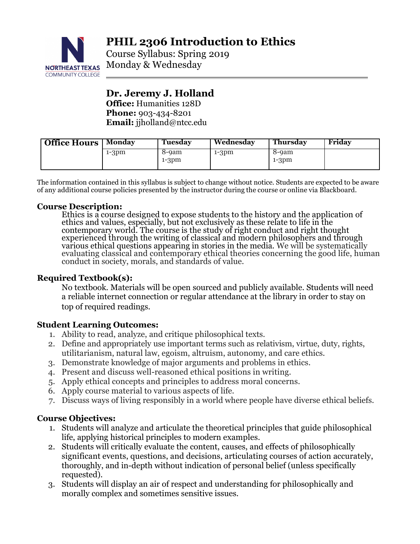

Course Syllabus: Spring 2019 Monday & Wednesday

# **Dr. Jeremy J. Holland Office:** Humanities 128D **Phone:** 903-434-8201 **Email:** jjholland@ntcc.edu

| Office Hours | Mondav  | Tuesday | Wednesdav | Thursdav | Friday |
|--------------|---------|---------|-----------|----------|--------|
|              | $1-3pm$ | 8-9am   | $1-3pm$   | 8-9am    |        |
|              |         | $1-3pm$ |           | $1-3pm$  |        |

The information contained in this syllabus is subject to change without notice. Students are expected to be aware of any additional course policies presented by the instructor during the course or online via Blackboard.

## **Course Description:**

Ethics is a course designed to expose students to the history and the application of ethics and values, especially, but not exclusively as these relate to life in the contemporary world. The course is the study of right conduct and right thought experienced through the writing of classical and modern philosophers and through various ethical questions appearing in stories in the media. We will be systematically evaluating classical and contemporary ethical theories concerning the good life, human conduct in society, morals, and standards of value.

# **Required Textbook(s):**

No textbook. Materials will be open sourced and publicly available. Students will need a reliable internet connection or regular attendance at the library in order to stay on top of required readings.

# **Student Learning Outcomes:**

- 1. Ability to read, analyze, and critique philosophical texts.
- 2. Define and appropriately use important terms such as relativism, virtue, duty, rights, utilitarianism, natural law, egoism, altruism, autonomy, and care ethics.
- 3. Demonstrate knowledge of major arguments and problems in ethics.
- 4. Present and discuss well-reasoned ethical positions in writing.
- 5. Apply ethical concepts and principles to address moral concerns.
- 6. Apply course material to various aspects of life.
- 7. Discuss ways of living responsibly in a world where people have diverse ethical beliefs.

# **Course Objectives:**

- 1. Students will analyze and articulate the theoretical principles that guide philosophical life, applying historical principles to modern examples.
- 2. Students will critically evaluate the content, causes, and effects of philosophically significant events, questions, and decisions, articulating courses of action accurately, thoroughly, and in-depth without indication of personal belief (unless specifically requested).
- 3. Students will display an air of respect and understanding for philosophically and morally complex and sometimes sensitive issues.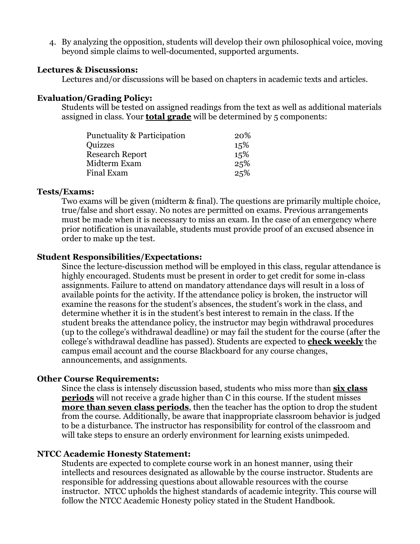4. By analyzing the opposition, students will develop their own philosophical voice, moving beyond simple claims to well-documented, supported arguments.

#### **Lectures & Discussions:**

Lectures and/or discussions will be based on chapters in academic texts and articles.

### **Evaluation/Grading Policy:**

Students will be tested on assigned readings from the text as well as additional materials assigned in class. Your **total grade** will be determined by 5 components:

| Punctuality & Participation | <b>20%</b> |
|-----------------------------|------------|
| Quizzes                     | 15%        |
| <b>Research Report</b>      | 15%        |
| Midterm Exam                | 25%        |
| Final Exam                  | 25%        |

#### **Tests/Exams:**

Two exams will be given (midterm & final). The questions are primarily multiple choice, true/false and short essay. No notes are permitted on exams. Previous arrangements must be made when it is necessary to miss an exam. In the case of an emergency where prior notification is unavailable, students must provide proof of an excused absence in order to make up the test.

### **Student Responsibilities/Expectations:**

Since the lecture-discussion method will be employed in this class, regular attendance is highly encouraged. Students must be present in order to get credit for some in-class assignments. Failure to attend on mandatory attendance days will result in a loss of available points for the activity. If the attendance policy is broken, the instructor will examine the reasons for the student's absences, the student's work in the class, and determine whether it is in the student's best interest to remain in the class. If the student breaks the attendance policy, the instructor may begin withdrawal procedures (up to the college's withdrawal deadline) or may fail the student for the course (after the college's withdrawal deadline has passed). Students are expected to **check weekly** the campus email account and the course Blackboard for any course changes, announcements, and assignments.

#### **Other Course Requirements:**

Since the class is intensely discussion based, students who miss more than **six class periods** will not receive a grade higher than C in this course. If the student misses **more than seven class periods**, then the teacher has the option to drop the student from the course. Additionally, be aware that inappropriate classroom behavior is judged to be a disturbance. The instructor has responsibility for control of the classroom and will take steps to ensure an orderly environment for learning exists unimpeded.

### **NTCC Academic Honesty Statement:**

Students are expected to complete course work in an honest manner, using their intellects and resources designated as allowable by the course instructor. Students are responsible for addressing questions about allowable resources with the course instructor. NTCC upholds the highest standards of academic integrity. This course will follow the NTCC Academic Honesty policy stated in the Student Handbook.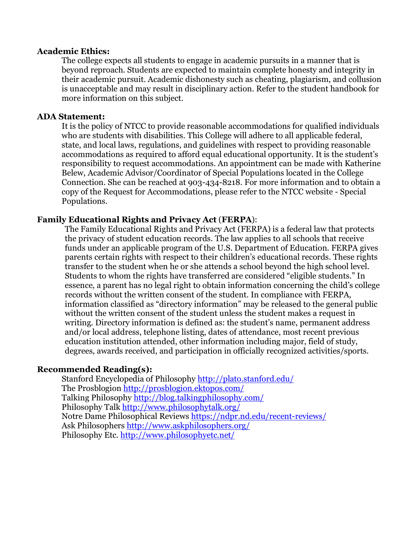#### **Academic Ethics:**

The college expects all students to engage in academic pursuits in a manner that is beyond reproach. Students are expected to maintain complete honesty and integrity in their academic pursuit. Academic dishonesty such as cheating, plagiarism, and collusion is unacceptable and may result in disciplinary action. Refer to the student handbook for more information on this subject.

#### **ADA Statement:**

It is the policy of NTCC to provide reasonable accommodations for qualified individuals who are students with disabilities. This College will adhere to all applicable federal, state, and local laws, regulations, and guidelines with respect to providing reasonable accommodations as required to afford equal educational opportunity. It is the student's responsibility to request accommodations. An appointment can be made with Katherine Belew, Academic Advisor/Coordinator of Special Populations located in the College Connection. She can be reached at 903-434-8218. For more information and to obtain a copy of the Request for Accommodations, please refer to the NTCC website - Special Populations.

### **Family Educational Rights and Privacy Act** (**FERPA**):

The Family Educational Rights and Privacy Act (FERPA) is a federal law that protects the privacy of student education records. The law applies to all schools that receive funds under an applicable program of the U.S. Department of Education. FERPA gives parents certain rights with respect to their children's educational records. These rights transfer to the student when he or she attends a school beyond the high school level. Students to whom the rights have transferred are considered "eligible students." In essence, a parent has no legal right to obtain information concerning the child's college records without the written consent of the student. In compliance with FERPA, information classified as "directory information" may be released to the general public without the written consent of the student unless the student makes a request in writing. Directory information is defined as: the student's name, permanent address and/or local address, telephone listing, dates of attendance, most recent previous education institution attended, other information including major, field of study, degrees, awards received, and participation in officially recognized activities/sports.

### **Recommended Reading(s):**

Stanford Encyclopedia of Philosophy http://plato.stanford.edu/ The Prosblogion http://prosblogion.ektopos.com/ Talking Philosophy http://blog.talkingphilosophy.com/ Philosophy Talk http://www.philosophytalk.org/ Notre Dame Philosophical Reviews https://ndpr.nd.edu/recent-reviews/ Ask Philosophers http://www.askphilosophers.org/ Philosophy Etc. http://www.philosophyetc.net/